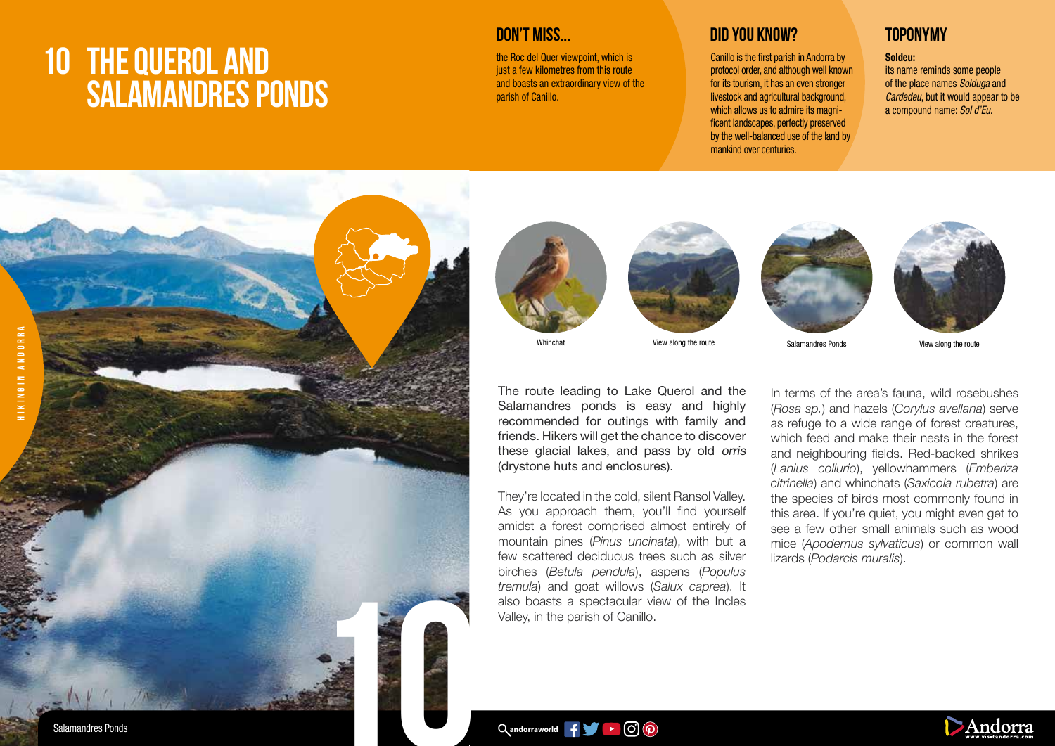# **10 THE QUEROL AND SALAMANDRES PONDS**

**DON'T MISS...**

the Roc del Quer viewpoint, which is just a few kilometres from this route and boasts an extraordinary view of the parish of Canillo.

## **DID YOU KNOW? TOPONYMY**

Canillo is the first parish in Andorra by protocol order, and although well known for its tourism, it has an even stronger livestock and agricultural background. which allows us to admire its magnificent landscapes, perfectly preserved by the well-balanced use of the land by mankind over centuries.

### Soldeu:

its name reminds some people of the place names *Solduga* and *Cardedeu*, but it would appear to be a compound name: *Sol d'Eu*.









Salamandres Ponds



View along the route

The route leading to Lake Querol and the Salamandres ponds is easy and highly recommended for outings with family and friends. Hikers will get the chance to discover these glacial lakes, and pass by old orris

(drystone huts and enclosures).

They're located in the cold, silent Ransol Valley. As you approach them, you'll find yourself amidst a forest comprised almost entirely of mountain pines (*Pinus uncinata*), with but a few scattered deciduous trees such as silver birches (*Betula pendula*), aspens (*Populus tremula*) and goat willows (*Salux caprea*). It also boasts a spectacular view of the Incles Valley, in the parish of Canillo.

In terms of the area's fauna, wild rosebushes (*Rosa sp.*) and hazels (*Corylus avellana*) serve as refuge to a wide range of forest creatures, which feed and make their nests in the forest and neighbouring fields. Red-backed shrikes (*Lanius collurio*), yellowhammers (*Emberiza citrinella*) and whinchats (*Saxicola rubetra*) are the species of birds most commonly found in this area. If you're quiet, you might even get to see a few other small animals such as wood mice (*Apodemus sylvaticus*) or common wall lizards (*Podarcis muralis*).